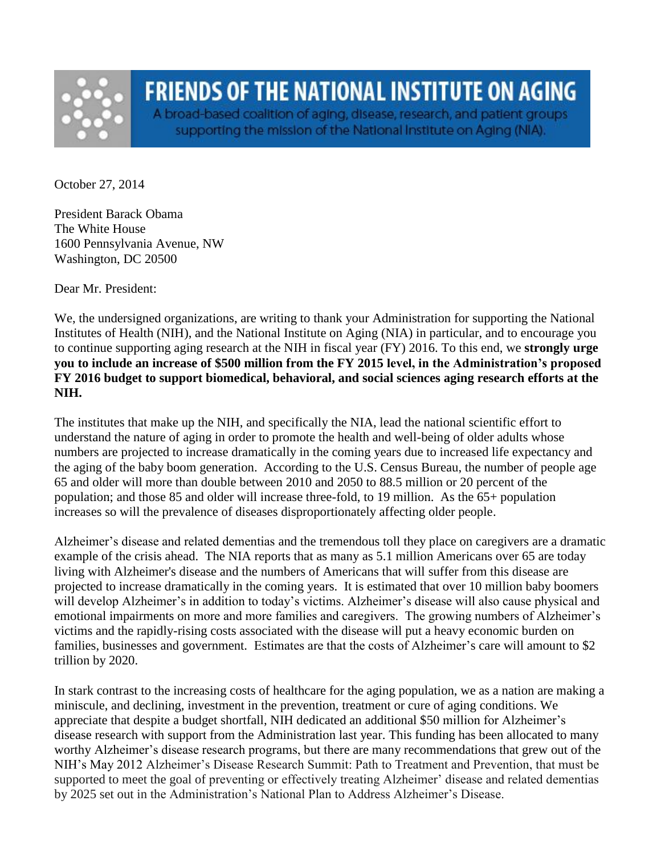

## **FRIENDS OF THE NATIONAL INSTITUTE ON AGING**

A broad-based coalition of aging, disease, research, and patient groups supporting the mission of the National Institute on Aging (NIA).

October 27, 2014

President Barack Obama The White House 1600 Pennsylvania Avenue, NW Washington, DC 20500

Dear Mr. President:

We, the undersigned organizations, are writing to thank your Administration for supporting the National Institutes of Health (NIH), and the National Institute on Aging (NIA) in particular, and to encourage you to continue supporting aging research at the NIH in fiscal year (FY) 2016. To this end, we **strongly urge you to include an increase of \$500 million from the FY 2015 level, in the Administration's proposed FY 2016 budget to support biomedical, behavioral, and social sciences aging research efforts at the NIH.**

The institutes that make up the NIH, and specifically the NIA, lead the national scientific effort to understand the nature of aging in order to promote the health and well-being of older adults whose numbers are projected to increase dramatically in the coming years due to increased life expectancy and the aging of the baby boom generation. According to the U.S. Census Bureau, the number of people age 65 and older will more than double between 2010 and 2050 to 88.5 million or 20 percent of the population; and those 85 and older will increase three-fold, to 19 million. As the 65+ population increases so will the prevalence of diseases disproportionately affecting older people.

Alzheimer's disease and related dementias and the tremendous toll they place on caregivers are a dramatic example of the crisis ahead. The NIA reports that as many as 5.1 million Americans over 65 are today living with Alzheimer's disease and the numbers of Americans that will suffer from this disease are projected to increase dramatically in the coming years. It is estimated that over 10 million baby boomers will develop Alzheimer's in addition to today's victims. Alzheimer's disease will also cause physical and emotional impairments on more and more families and caregivers. The growing numbers of Alzheimer's victims and the rapidly-rising costs associated with the disease will put a heavy economic burden on families, businesses and government. Estimates are that the costs of Alzheimer's care will amount to \$2 trillion by 2020.

In stark contrast to the increasing costs of healthcare for the aging population, we as a nation are making a miniscule, and declining, investment in the prevention, treatment or cure of aging conditions. We appreciate that despite a budget shortfall, NIH dedicated an additional \$50 million for Alzheimer's disease research with support from the Administration last year. This funding has been allocated to many worthy Alzheimer's disease research programs, but there are many recommendations that grew out of the NIH's May 2012 Alzheimer's Disease Research Summit: Path to Treatment and Prevention, that must be supported to meet the goal of preventing or effectively treating Alzheimer' disease and related dementias by 2025 set out in the Administration's National Plan to Address Alzheimer's Disease.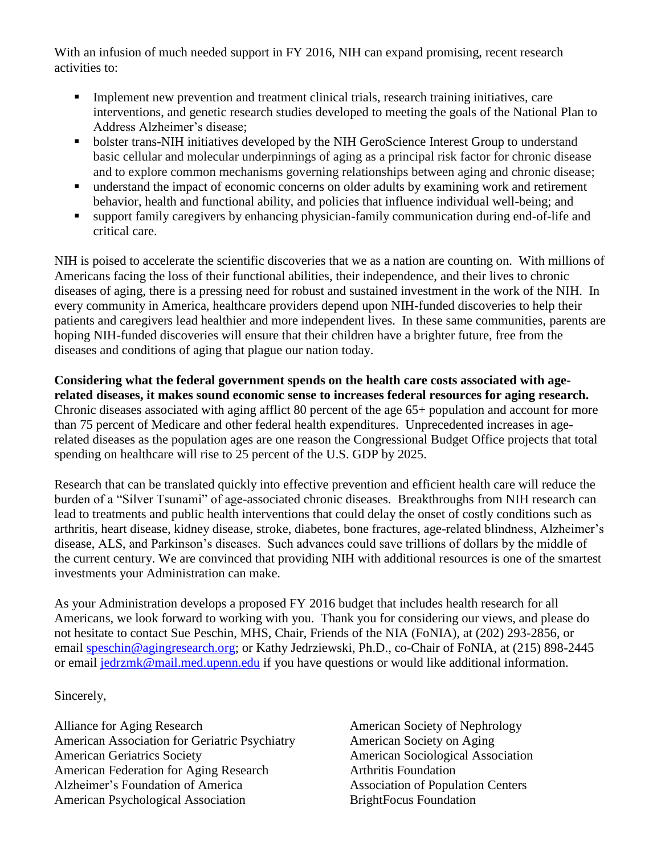With an infusion of much needed support in FY 2016, NIH can expand promising, recent research activities to:

- Implement new prevention and treatment clinical trials, research training initiatives, care interventions, and genetic research studies developed to meeting the goals of the National Plan to Address Alzheimer's disease;
- bolster trans-NIH initiatives developed by the NIH GeroScience Interest Group to understand basic cellular and molecular underpinnings of aging as a principal risk factor for chronic disease and to explore common mechanisms governing relationships between aging and chronic disease;
- understand the impact of economic concerns on older adults by examining work and retirement behavior, health and functional ability, and policies that influence individual well-being; and
- support family caregivers by enhancing physician-family communication during end-of-life and critical care.

NIH is poised to accelerate the scientific discoveries that we as a nation are counting on. With millions of Americans facing the loss of their functional abilities, their independence, and their lives to chronic diseases of aging, there is a pressing need for robust and sustained investment in the work of the NIH. In every community in America, healthcare providers depend upon NIH-funded discoveries to help their patients and caregivers lead healthier and more independent lives. In these same communities, parents are hoping NIH-funded discoveries will ensure that their children have a brighter future, free from the diseases and conditions of aging that plague our nation today.

**Considering what the federal government spends on the health care costs associated with agerelated diseases, it makes sound economic sense to increases federal resources for aging research.**  Chronic diseases associated with aging afflict 80 percent of the age 65+ population and account for more than 75 percent of Medicare and other federal health expenditures. Unprecedented increases in agerelated diseases as the population ages are one reason the Congressional Budget Office projects that total spending on healthcare will rise to 25 percent of the U.S. GDP by 2025.

Research that can be translated quickly into effective prevention and efficient health care will reduce the burden of a "Silver Tsunami" of age-associated chronic diseases. Breakthroughs from NIH research can lead to treatments and public health interventions that could delay the onset of costly conditions such as arthritis, heart disease, kidney disease, stroke, diabetes, bone fractures, age-related blindness, Alzheimer's disease, ALS, and Parkinson's diseases. Such advances could save trillions of dollars by the middle of the current century. We are convinced that providing NIH with additional resources is one of the smartest investments your Administration can make.

As your Administration develops a proposed FY 2016 budget that includes health research for all Americans, we look forward to working with you. Thank you for considering our views, and please do not hesitate to contact Sue Peschin, MHS, Chair, Friends of the NIA (FoNIA), at (202) 293-2856, or email [speschin@agingresearch.org;](mailto:speschin@agingresearch.org) or Kathy Jedrziewski, Ph.D., co-Chair of FoNIA, at (215) 898-2445 or email [jedrzmk@mail.med.upenn.edu](mailto:jedrzmk@mail.med.upenn.edu) if you have questions or would like additional information.

Sincerely,

Alliance for Aging Research American Association for Geriatric Psychiatry American Geriatrics Society American Federation for Aging Research Alzheimer's Foundation of America American Psychological Association

American Society of Nephrology American Society on Aging American Sociological Association Arthritis Foundation Association of Population Centers BrightFocus Foundation